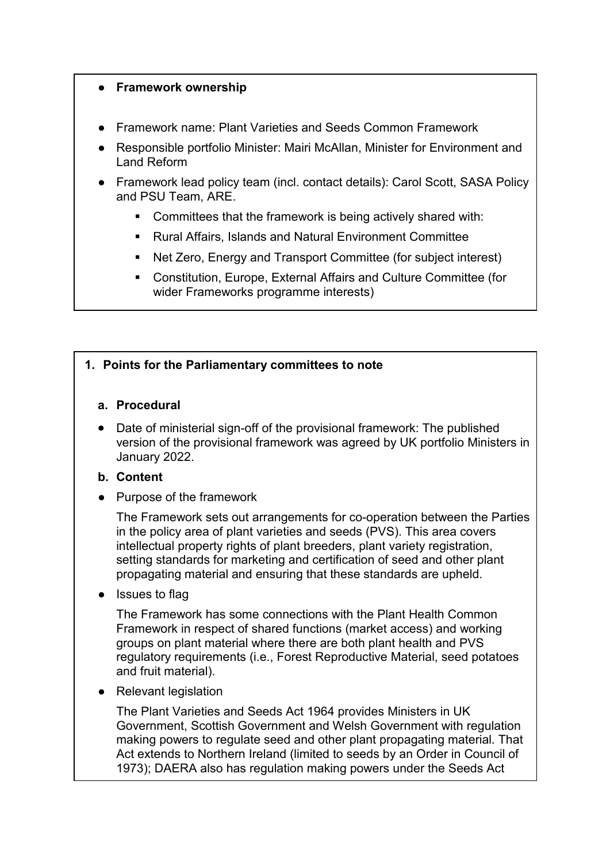## ● **Framework ownership**

- **Framework name: Plant Varieties and Seeds Common Framework**
- Responsible portfolio Minister: Mairi McAllan, Minister for Environment and Land Reform
- Framework lead policy team (incl. contact details): Carol Scott, SASA Policy and PSU Team, ARE.
	- **Committees that the framework is being actively shared with:**
	- Rural Affairs, Islands and Natural Environment Committee
	- Net Zero, Energy and Transport Committee (for subject interest)
	- Constitution, Europe, External Affairs and Culture Committee (for wider Frameworks programme interests)

## **1. Points for the Parliamentary committees to note**

## **a. Procedural**

• Date of ministerial sign-off of the provisional framework: The published version of the provisional framework was agreed by UK portfolio Ministers in January 2022.

## **b. Content**

● Purpose of the framework

The Framework sets out arrangements for co-operation between the Parties in the policy area of plant varieties and seeds (PVS). This area covers intellectual property rights of plant breeders, plant variety registration, setting standards for marketing and certification of seed and other plant propagating material and ensuring that these standards are upheld.

● Issues to flag

The Framework has some connections with the Plant Health Common Framework in respect of shared functions (market access) and working groups on plant material where there are both plant health and PVS regulatory requirements (i.e., Forest Reproductive Material, seed potatoes and fruit material).

● Relevant legislation

The Plant Varieties and Seeds Act 1964 provides Ministers in UK Government, Scottish Government and Welsh Government with regulation making powers to regulate seed and other plant propagating material. That Act extends to Northern Ireland (limited to seeds by an Order in Council of 1973); DAERA also has regulation making powers under the Seeds Act